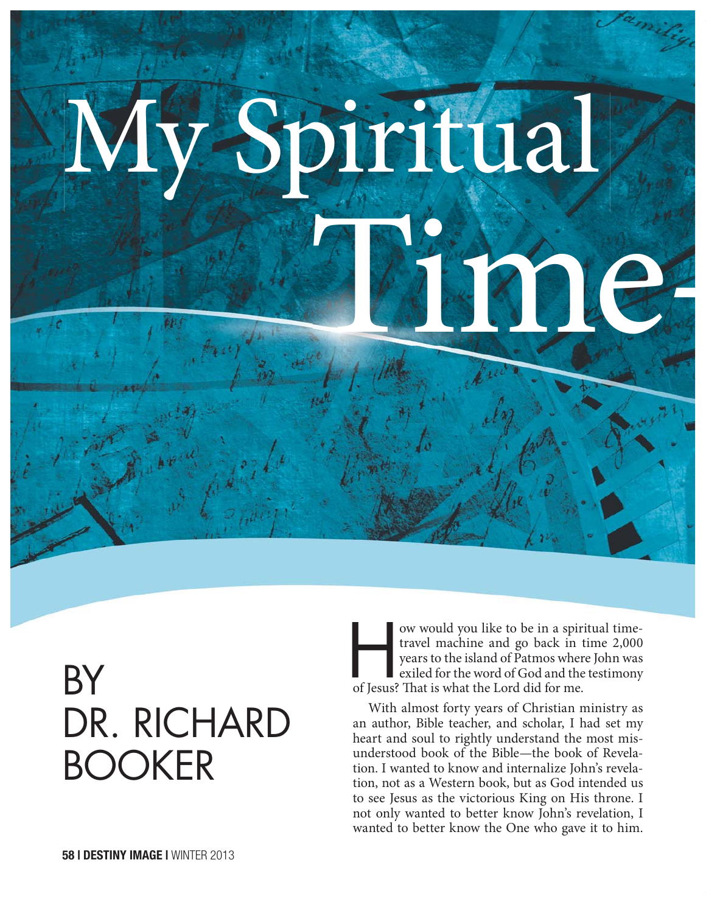# The Mary of the Company My Spiritual

## BY DR. RICHARD BOOKER

ow would you like to be in a spiritual time-<br>travel machine and go back in time 2,000<br>years to the island of Patmos where John was<br>exiled for the word of God and the testimony travel machine and go back in time 2,000 years to the island of Patmos where John was exiled for the word of God and the testimony of Jesus? That is what the Lord did for me.

With almost forty years of Christian ministry as an author, Bible teacher, and scholar, I had set my heart and soul to rightly understand the most misunderstood book of the Bible—the book of Revelation. I wanted to know and internalize John's revelation, not as a Western book, but as God intended us to see Jesus as the victorious King on His throne. I not only wanted to better know John's revelation, I wanted to better know the One who gave it to him.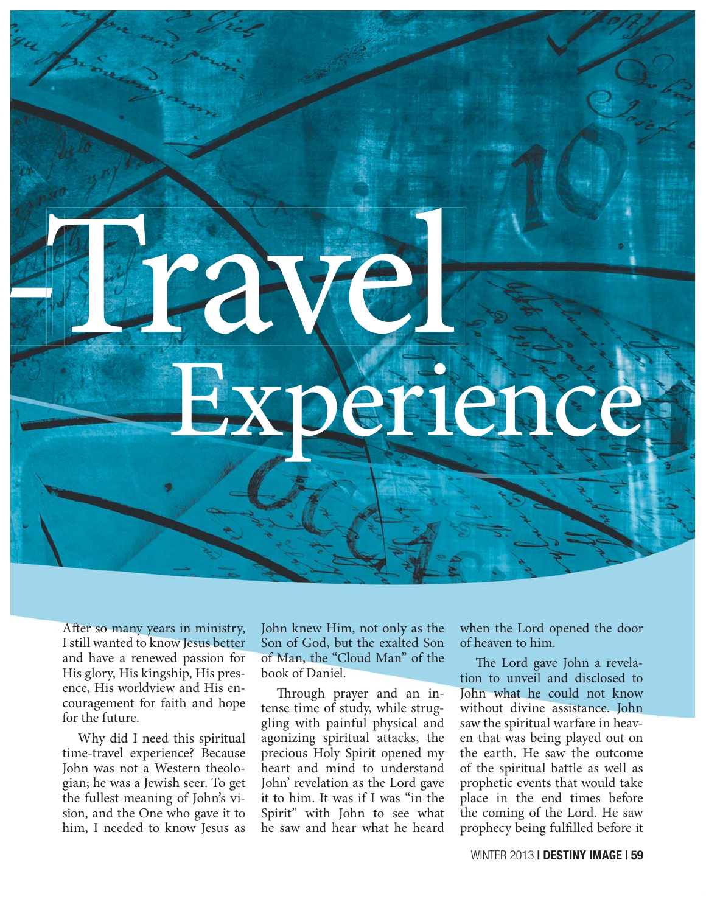After so many years in ministry, I still wanted to know Jesus better and have a renewed passion for His glory, His kingship, His presence, His worldview and His encouragement for faith and hope for the future.

Travel

- 100

Why did I need this spiritual time-travel experience? Because John was not a Western theologian; he was a Jewish seer. To get the fullest meaning of John's vision, and the One who gave it to him, I needed to know Jesus as John knew Him, not only as the Son of God, but the exalted Son of Man, the "Cloud Man" of the book of Daniel.

Experience

Through prayer and an intense time of study, while struggling with painful physical and agonizing spiritual attacks, the precious Holy Spirit opened my heart and mind to understand John' revelation as the Lord gave it to him. It was if I was "in the Spirit" with John to see what he saw and hear what he heard

when the Lord opened the door of heaven to him.

The Lord gave John a revelation to unveil and disclosed to John what he could not know without divine assistance. John saw the spiritual warfare in heaven that was being played out on the earth. He saw the outcome of the spiritual battle as well as prophetic events that would take place in the end times before the coming of the Lord. He saw prophecy being fulfilled before it

WINTER 2013 **| DESTINY IMAGE | 59**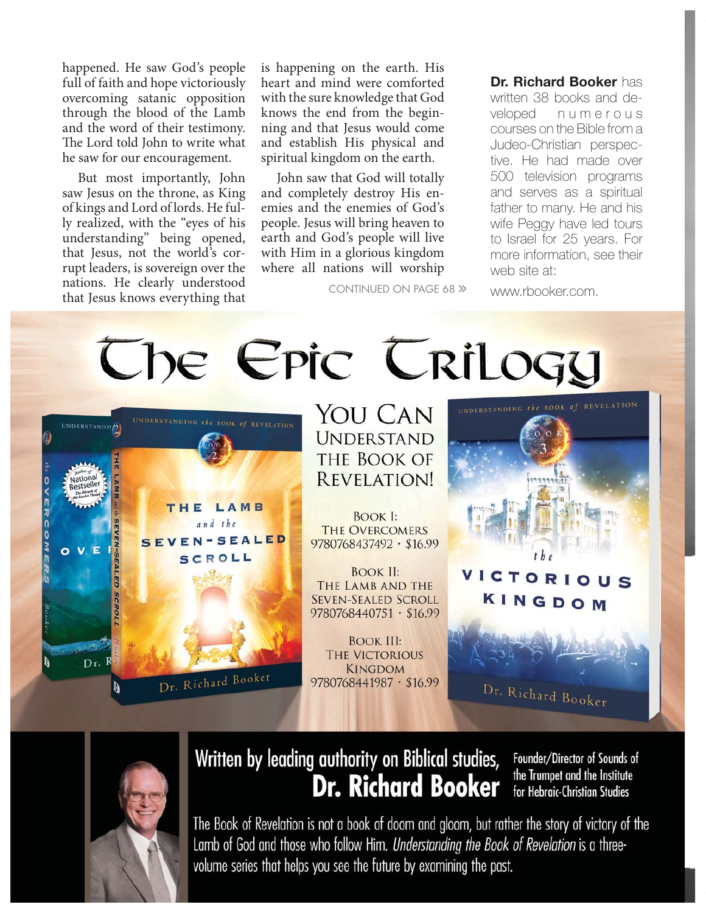happened. He saw God's people full of faith and hope victoriously overcoming satanic opposition through the blood of the Lamb and the word of their testimony. The Lord told John to write what he saw for our encouragement.

But most importantly, John saw Jesus on the throne, as King of kings and Lord of lords. He fully realized, with the "eyes of his understanding" being opened, that Jesus, not the world's corrupt leaders, is sovereign over the nations. He clearly understood that Jesus knows everything that

is happening on the earth. His heart and mind were comforted with the sure knowledge that God knows the end from the beginning and that Jesus would come and establish His physical and spiritual kingdom on the earth.

John saw that God will totally and completely destroy His enemies and the enemies of God's people. Jesus will bring heaven to earth and God's people will live with Him in a glorious kingdom where all nations will worship

CONTINUED ON PAGE 68 >> www.rbooker.com.

**Dr. Richard Booker** has written 38 books and developed n u m e r o u s courses on the Bible from a Judeo-Christian perspective. He had made over 500 television programs and serves as a spiritual father to many. He and his wife Peggy have led tours to Israel for 25 years. For more information, see their web site at:





### Written by leading authority on Biblical studies, **Dr. Richard Booker**

Founder/Director of Sounds of the Trumpet and the Institute for Hebraic-Christian Studies

The Book of Revelation is not a book of doom and gloom, but rather the story of victory of the